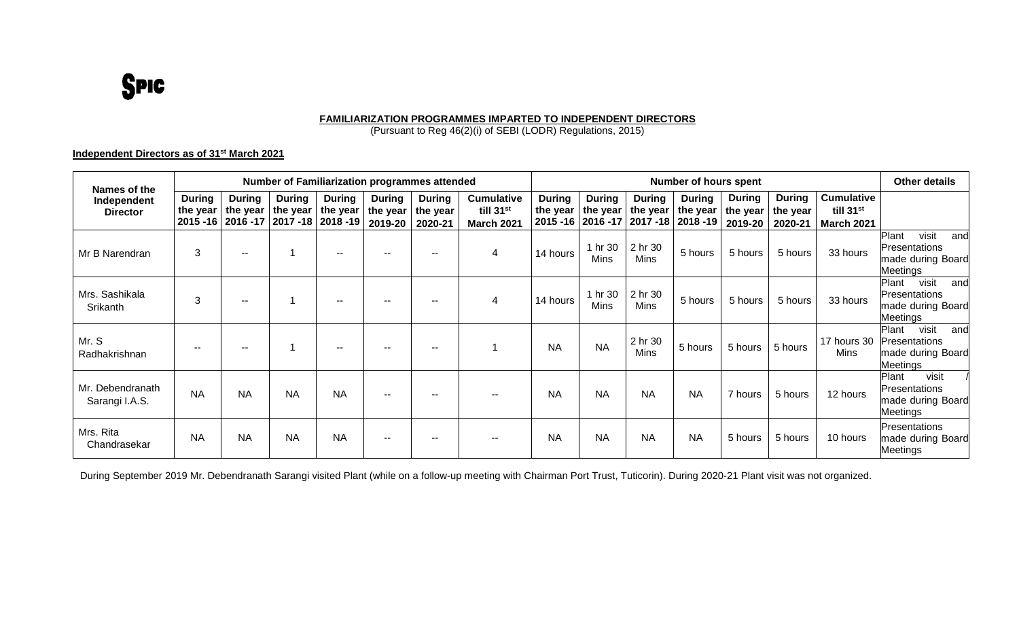## **SPIC**

#### **FAMILIARIZATION PROGRAMMES IMPARTED TO INDEPENDENT DIRECTORS**

(Pursuant to Reg 46(2)(i) of SEBI (LODR) Regulations, 2015)

### **Independent Directors as of 31st March 2021**

| Names of the                       | Number of Familiarization programmes attended |                                                  |                                          |                                        |                                      |                                      |                                                                 |                           | <b>Number of hours spent</b>                       |                           |                                                    |                                      |                                      |                                                                 |                                                                                |
|------------------------------------|-----------------------------------------------|--------------------------------------------------|------------------------------------------|----------------------------------------|--------------------------------------|--------------------------------------|-----------------------------------------------------------------|---------------------------|----------------------------------------------------|---------------------------|----------------------------------------------------|--------------------------------------|--------------------------------------|-----------------------------------------------------------------|--------------------------------------------------------------------------------|
| Independent<br><b>Director</b>     | <b>During</b><br>the year                     | <b>During</b><br>the year<br>2015 - 16 2016 - 17 | <b>During</b><br>the year<br>$2017 - 18$ | <b>During</b><br>the year<br>2018 - 19 | <b>During</b><br>the year<br>2019-20 | <b>During</b><br>the year<br>2020-21 | <b>Cumulative</b><br>till 31 <sup>st</sup><br><b>March 2021</b> | <b>During</b><br>the year | <b>During</b><br>the year<br>2015 - 16   2016 - 17 | <b>During</b><br>the year | <b>During</b><br>the year<br>2017 - 18   2018 - 19 | <b>During</b><br>the year<br>2019-20 | <b>During</b><br>the year<br>2020-21 | <b>Cumulative</b><br>till 31 <sup>st</sup><br><b>March 2021</b> |                                                                                |
| Mr B Narendran                     | 3                                             | $- -$                                            | 1                                        | $\overline{\phantom{a}}$               | $\overline{\phantom{a}}$             | --                                   |                                                                 | 14 hours                  | 1 hr 30<br>Mins                                    | 2 hr 30<br><b>Mins</b>    | 5 hours                                            | 5 hours                              | 5 hours                              | 33 hours                                                        | visit<br>Plant<br>and<br>Presentations<br>nade during Board<br>Meetings        |
| Mrs. Sashikala<br>Srikanth         | 3                                             | $- -$                                            | 1                                        | $\overline{\phantom{a}}$               | $\sim$ $\sim$                        | $\sim$                               |                                                                 | 14 hours                  | 1 hr 30<br><b>Mins</b>                             | 2 hr 30<br><b>Mins</b>    | 5 hours                                            | 5 hours                              | 5 hours                              | 33 hours                                                        | visit<br>Plant<br>and<br>Presentations<br>made during Board<br>Meetings        |
| Mr. S<br>Radhakrishnan             | $\sim$                                        | $\sim$                                           | 1                                        | $\sim$ $\sim$                          | $- -$                                | --                                   |                                                                 | <b>NA</b>                 | <b>NA</b>                                          | 2 hr 30<br>Mins           | 5 hours                                            | 5 hours                              | 5 hours                              | 17 hours 30<br>Mins                                             | visit<br>Plant<br>and<br><b>Presentations</b><br>made during Board<br>Meetings |
| Mr. Debendranath<br>Sarangi I.A.S. | <b>NA</b>                                     | <b>NA</b>                                        | <b>NA</b>                                | <b>NA</b>                              | $\sim$ $\sim$                        | --                                   |                                                                 | <b>NA</b>                 | <b>NA</b>                                          | <b>NA</b>                 | <b>NA</b>                                          | 7 hours                              | 5 hours                              | 12 hours                                                        | visit<br>Plant<br>Presentations<br>made during Board<br><i>A</i> eetings       |
| Mrs. Rita<br>Chandrasekar          | <b>NA</b>                                     | <b>NA</b>                                        | <b>NA</b>                                | <b>NA</b>                              | $\overline{\phantom{a}}$             | $\sim$ $\sim$                        |                                                                 | <b>NA</b>                 | <b>NA</b>                                          | <b>NA</b>                 | <b>NA</b>                                          | 5 hours                              | 5 hours                              | 10 hours                                                        | Presentations<br>nade during Board<br>Meetings                                 |

During September 2019 Mr. Debendranath Sarangi visited Plant (while on a follow-up meeting with Chairman Port Trust, Tuticorin). During 2020-21 Plant visit was not organized.